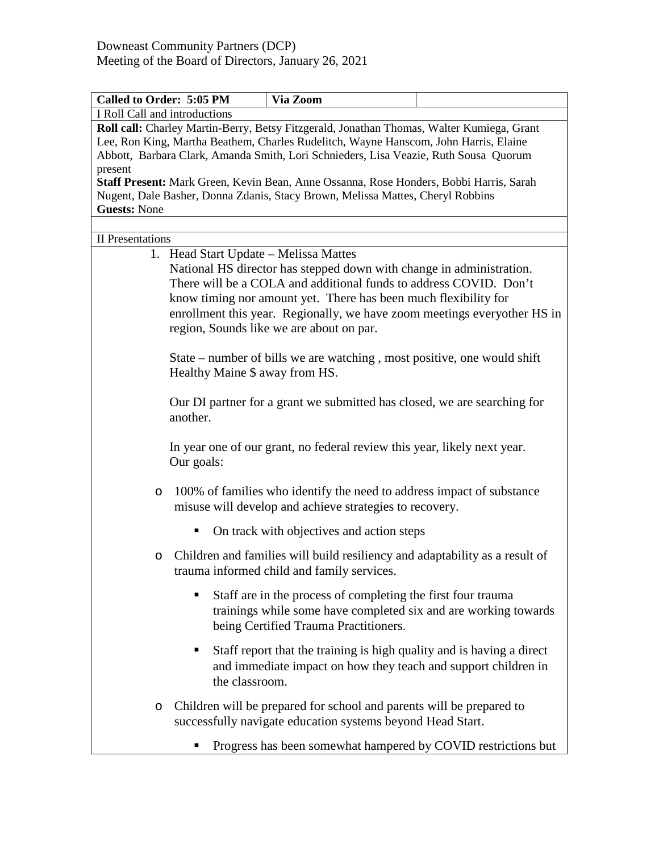| <b>Called to Order: 5:05 PM</b>                                                                                                                                                                                                                                           | Via Zoom                                                                                                                                                                                                                                                                                                                             |  |  |  |
|---------------------------------------------------------------------------------------------------------------------------------------------------------------------------------------------------------------------------------------------------------------------------|--------------------------------------------------------------------------------------------------------------------------------------------------------------------------------------------------------------------------------------------------------------------------------------------------------------------------------------|--|--|--|
| I Roll Call and introductions                                                                                                                                                                                                                                             |                                                                                                                                                                                                                                                                                                                                      |  |  |  |
| Roll call: Charley Martin-Berry, Betsy Fitzgerald, Jonathan Thomas, Walter Kumiega, Grant<br>Lee, Ron King, Martha Beathem, Charles Rudelitch, Wayne Hanscom, John Harris, Elaine<br>Abbott, Barbara Clark, Amanda Smith, Lori Schnieders, Lisa Veazie, Ruth Sousa Quorum |                                                                                                                                                                                                                                                                                                                                      |  |  |  |
| present                                                                                                                                                                                                                                                                   |                                                                                                                                                                                                                                                                                                                                      |  |  |  |
| Staff Present: Mark Green, Kevin Bean, Anne Ossanna, Rose Honders, Bobbi Harris, Sarah                                                                                                                                                                                    |                                                                                                                                                                                                                                                                                                                                      |  |  |  |
| Nugent, Dale Basher, Donna Zdanis, Stacy Brown, Melissa Mattes, Cheryl Robbins                                                                                                                                                                                            |                                                                                                                                                                                                                                                                                                                                      |  |  |  |
| <b>Guests: None</b>                                                                                                                                                                                                                                                       |                                                                                                                                                                                                                                                                                                                                      |  |  |  |
|                                                                                                                                                                                                                                                                           |                                                                                                                                                                                                                                                                                                                                      |  |  |  |
| II Presentations                                                                                                                                                                                                                                                          |                                                                                                                                                                                                                                                                                                                                      |  |  |  |
|                                                                                                                                                                                                                                                                           | 1. Head Start Update – Melissa Mattes                                                                                                                                                                                                                                                                                                |  |  |  |
|                                                                                                                                                                                                                                                                           | National HS director has stepped down with change in administration.<br>There will be a COLA and additional funds to address COVID. Don't<br>know timing nor amount yet. There has been much flexibility for<br>enrollment this year. Regionally, we have zoom meetings everyother HS in<br>region, Sounds like we are about on par. |  |  |  |
|                                                                                                                                                                                                                                                                           |                                                                                                                                                                                                                                                                                                                                      |  |  |  |
|                                                                                                                                                                                                                                                                           | State – number of bills we are watching, most positive, one would shift<br>Healthy Maine \$ away from HS.                                                                                                                                                                                                                            |  |  |  |
| another.                                                                                                                                                                                                                                                                  | Our DI partner for a grant we submitted has closed, we are searching for                                                                                                                                                                                                                                                             |  |  |  |
| Our goals:                                                                                                                                                                                                                                                                | In year one of our grant, no federal review this year, likely next year.                                                                                                                                                                                                                                                             |  |  |  |
| O                                                                                                                                                                                                                                                                         | 100% of families who identify the need to address impact of substance<br>misuse will develop and achieve strategies to recovery.                                                                                                                                                                                                     |  |  |  |
| ٠                                                                                                                                                                                                                                                                         | On track with objectives and action steps                                                                                                                                                                                                                                                                                            |  |  |  |
| O                                                                                                                                                                                                                                                                         | Children and families will build resiliency and adaptability as a result of<br>trauma informed child and family services.                                                                                                                                                                                                            |  |  |  |
| п                                                                                                                                                                                                                                                                         | Staff are in the process of completing the first four trauma<br>trainings while some have completed six and are working towards<br>being Certified Trauma Practitioners.                                                                                                                                                             |  |  |  |
| п<br>the classroom.                                                                                                                                                                                                                                                       | Staff report that the training is high quality and is having a direct<br>and immediate impact on how they teach and support children in                                                                                                                                                                                              |  |  |  |
| O                                                                                                                                                                                                                                                                         | Children will be prepared for school and parents will be prepared to<br>successfully navigate education systems beyond Head Start.                                                                                                                                                                                                   |  |  |  |
| п                                                                                                                                                                                                                                                                         | Progress has been somewhat hampered by COVID restrictions but                                                                                                                                                                                                                                                                        |  |  |  |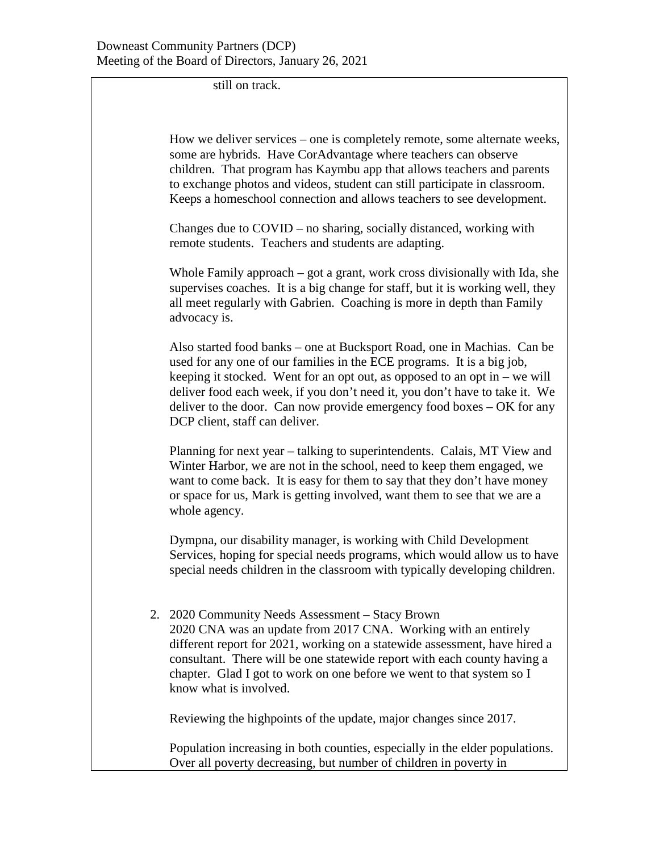still on track.

How we deliver services – one is completely remote, some alternate weeks, some are hybrids. Have CorAdvantage where teachers can observe children. That program has Kaymbu app that allows teachers and parents to exchange photos and videos, student can still participate in classroom. Keeps a homeschool connection and allows teachers to see development.

Changes due to COVID – no sharing, socially distanced, working with remote students. Teachers and students are adapting.

Whole Family approach – got a grant, work cross divisionally with Ida, she supervises coaches. It is a big change for staff, but it is working well, they all meet regularly with Gabrien. Coaching is more in depth than Family advocacy is.

Also started food banks – one at Bucksport Road, one in Machias. Can be used for any one of our families in the ECE programs. It is a big job, keeping it stocked. Went for an opt out, as opposed to an opt in – we will deliver food each week, if you don't need it, you don't have to take it. We deliver to the door. Can now provide emergency food boxes – OK for any DCP client, staff can deliver.

Planning for next year – talking to superintendents. Calais, MT View and Winter Harbor, we are not in the school, need to keep them engaged, we want to come back. It is easy for them to say that they don't have money or space for us, Mark is getting involved, want them to see that we are a whole agency.

Dympna, our disability manager, is working with Child Development Services, hoping for special needs programs, which would allow us to have special needs children in the classroom with typically developing children.

2. 2020 Community Needs Assessment – Stacy Brown 2020 CNA was an update from 2017 CNA. Working with an entirely different report for 2021, working on a statewide assessment, have hired a consultant. There will be one statewide report with each county having a chapter. Glad I got to work on one before we went to that system so I know what is involved.

Reviewing the highpoints of the update, major changes since 2017.

Population increasing in both counties, especially in the elder populations. Over all poverty decreasing, but number of children in poverty in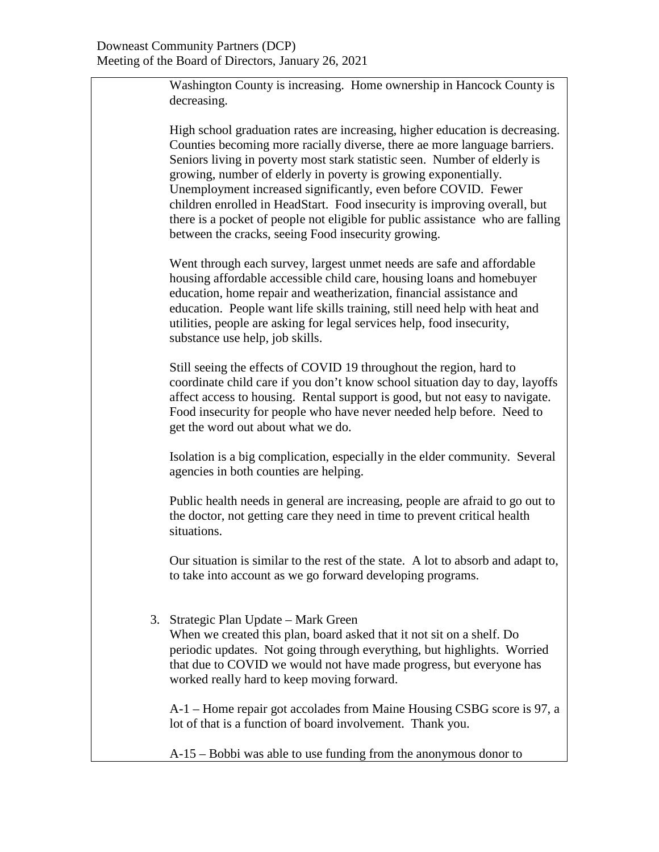Washington County is increasing. Home ownership in Hancock County is decreasing.

High school graduation rates are increasing, higher education is decreasing. Counties becoming more racially diverse, there ae more language barriers. Seniors living in poverty most stark statistic seen. Number of elderly is growing, number of elderly in poverty is growing exponentially. Unemployment increased significantly, even before COVID. Fewer children enrolled in HeadStart. Food insecurity is improving overall, but there is a pocket of people not eligible for public assistance who are falling between the cracks, seeing Food insecurity growing.

Went through each survey, largest unmet needs are safe and affordable housing affordable accessible child care, housing loans and homebuyer education, home repair and weatherization, financial assistance and education. People want life skills training, still need help with heat and utilities, people are asking for legal services help, food insecurity, substance use help, job skills.

Still seeing the effects of COVID 19 throughout the region, hard to coordinate child care if you don't know school situation day to day, layoffs affect access to housing. Rental support is good, but not easy to navigate. Food insecurity for people who have never needed help before. Need to get the word out about what we do.

Isolation is a big complication, especially in the elder community. Several agencies in both counties are helping.

Public health needs in general are increasing, people are afraid to go out to the doctor, not getting care they need in time to prevent critical health situations.

Our situation is similar to the rest of the state. A lot to absorb and adapt to, to take into account as we go forward developing programs.

3. Strategic Plan Update – Mark Green

When we created this plan, board asked that it not sit on a shelf. Do periodic updates. Not going through everything, but highlights. Worried that due to COVID we would not have made progress, but everyone has worked really hard to keep moving forward.

A-1 – Home repair got accolades from Maine Housing CSBG score is 97, a lot of that is a function of board involvement. Thank you.

A-15 – Bobbi was able to use funding from the anonymous donor to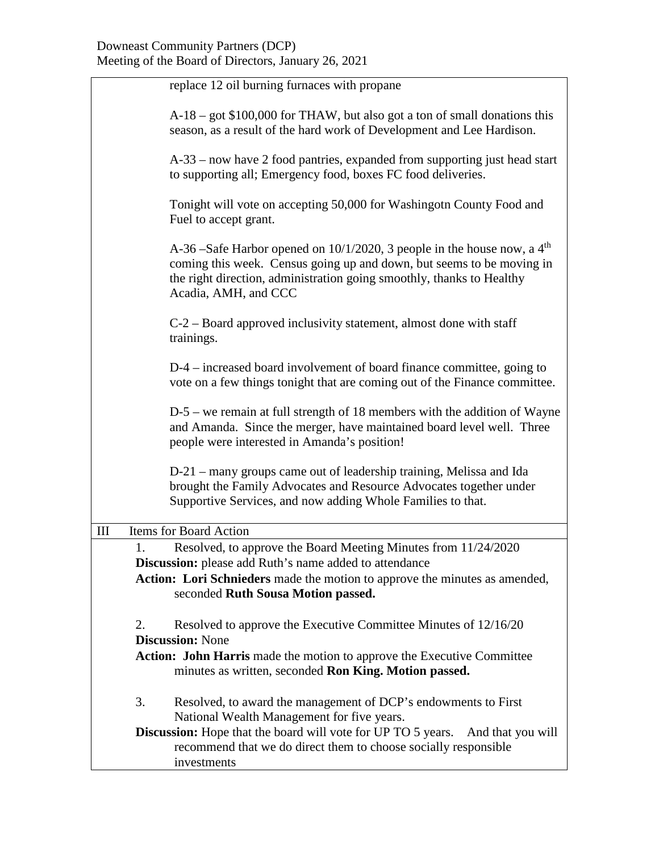|                    | replace 12 oil burning furnaces with propane                                                                                                                                                                                                                     |  |  |
|--------------------|------------------------------------------------------------------------------------------------------------------------------------------------------------------------------------------------------------------------------------------------------------------|--|--|
|                    | A-18 – got \$100,000 for THAW, but also got a ton of small donations this<br>season, as a result of the hard work of Development and Lee Hardison.                                                                                                               |  |  |
|                    | A-33 – now have 2 food pantries, expanded from supporting just head start<br>to supporting all; Emergency food, boxes FC food deliveries.                                                                                                                        |  |  |
|                    | Tonight will vote on accepting 50,000 for Washingotn County Food and<br>Fuel to accept grant.                                                                                                                                                                    |  |  |
|                    | A-36 –Safe Harbor opened on $10/1/2020$ , 3 people in the house now, a 4 <sup>th</sup><br>coming this week. Census going up and down, but seems to be moving in<br>the right direction, administration going smoothly, thanks to Healthy<br>Acadia, AMH, and CCC |  |  |
|                    | $C-2$ – Board approved inclusivity statement, almost done with staff<br>trainings.                                                                                                                                                                               |  |  |
|                    | D-4 – increased board involvement of board finance committee, going to<br>vote on a few things tonight that are coming out of the Finance committee.                                                                                                             |  |  |
|                    | $D-5$ – we remain at full strength of 18 members with the addition of Wayne<br>and Amanda. Since the merger, have maintained board level well. Three<br>people were interested in Amanda's position!                                                             |  |  |
|                    | D-21 – many groups came out of leadership training, Melissa and Ida<br>brought the Family Advocates and Resource Advocates together under<br>Supportive Services, and now adding Whole Families to that.                                                         |  |  |
| $\mathop{\rm III}$ | Items for Board Action                                                                                                                                                                                                                                           |  |  |
| 1.                 | Resolved, to approve the Board Meeting Minutes from 11/24/2020<br><b>Discussion:</b> please add Ruth's name added to attendance                                                                                                                                  |  |  |
|                    | Action: Lori Schnieders made the motion to approve the minutes as amended,                                                                                                                                                                                       |  |  |
|                    | seconded Ruth Sousa Motion passed.                                                                                                                                                                                                                               |  |  |
| 2.                 | Resolved to approve the Executive Committee Minutes of 12/16/20<br><b>Discussion: None</b>                                                                                                                                                                       |  |  |
|                    | Action: John Harris made the motion to approve the Executive Committee<br>minutes as written, seconded Ron King. Motion passed.                                                                                                                                  |  |  |
| 3.                 | Resolved, to award the management of DCP's endowments to First<br>National Wealth Management for five years.                                                                                                                                                     |  |  |
|                    | <b>Discussion:</b> Hope that the board will vote for UP TO 5 years.<br>And that you will<br>recommend that we do direct them to choose socially responsible<br>investments                                                                                       |  |  |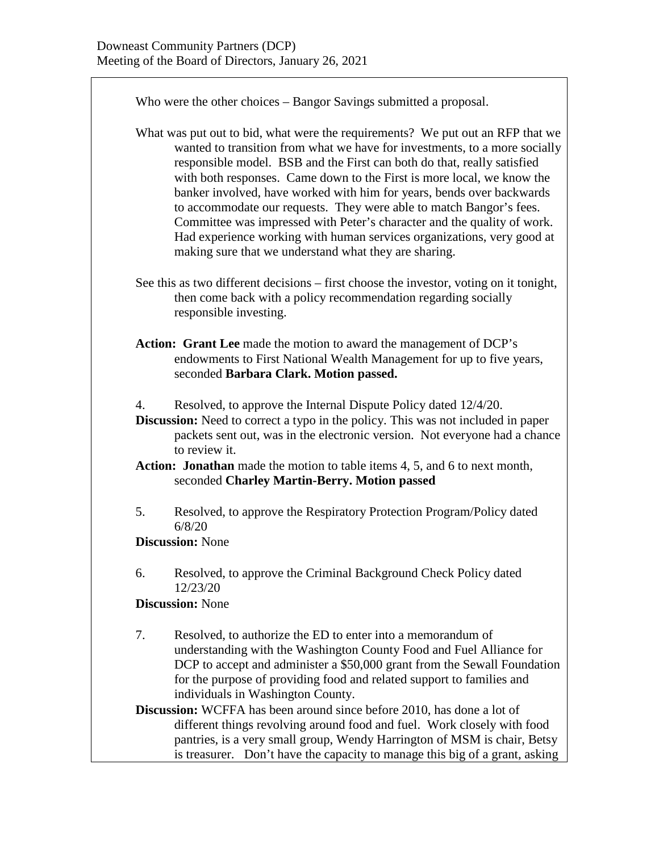Who were the other choices – Bangor Savings submitted a proposal. What was put out to bid, what were the requirements? We put out an RFP that we wanted to transition from what we have for investments, to a more socially responsible model. BSB and the First can both do that, really satisfied with both responses. Came down to the First is more local, we know the banker involved, have worked with him for years, bends over backwards to accommodate our requests. They were able to match Bangor's fees. Committee was impressed with Peter's character and the quality of work. Had experience working with human services organizations, very good at making sure that we understand what they are sharing. See this as two different decisions – first choose the investor, voting on it tonight, then come back with a policy recommendation regarding socially responsible investing. **Action: Grant Lee** made the motion to award the management of DCP's endowments to First National Wealth Management for up to five years, seconded **Barbara Clark. Motion passed.** 4. Resolved, to approve the Internal Dispute Policy dated 12/4/20. **Discussion:** Need to correct a typo in the policy. This was not included in paper packets sent out, was in the electronic version. Not everyone had a chance to review it. **Action: Jonathan** made the motion to table items 4, 5, and 6 to next month, seconded **Charley Martin-Berry. Motion passed** 5. Resolved, to approve the Respiratory Protection Program/Policy dated 6/8/20 **Discussion:** None 6. Resolved, to approve the Criminal Background Check Policy dated 12/23/20 **Discussion:** None 7. Resolved, to authorize the ED to enter into a memorandum of understanding with the Washington County Food and Fuel Alliance for DCP to accept and administer a \$50,000 grant from the Sewall Foundation for the purpose of providing food and related support to families and individuals in Washington County. **Discussion:** WCFFA has been around since before 2010, has done a lot of different things revolving around food and fuel. Work closely with food pantries, is a very small group, Wendy Harrington of MSM is chair, Betsy is treasurer. Don't have the capacity to manage this big of a grant, asking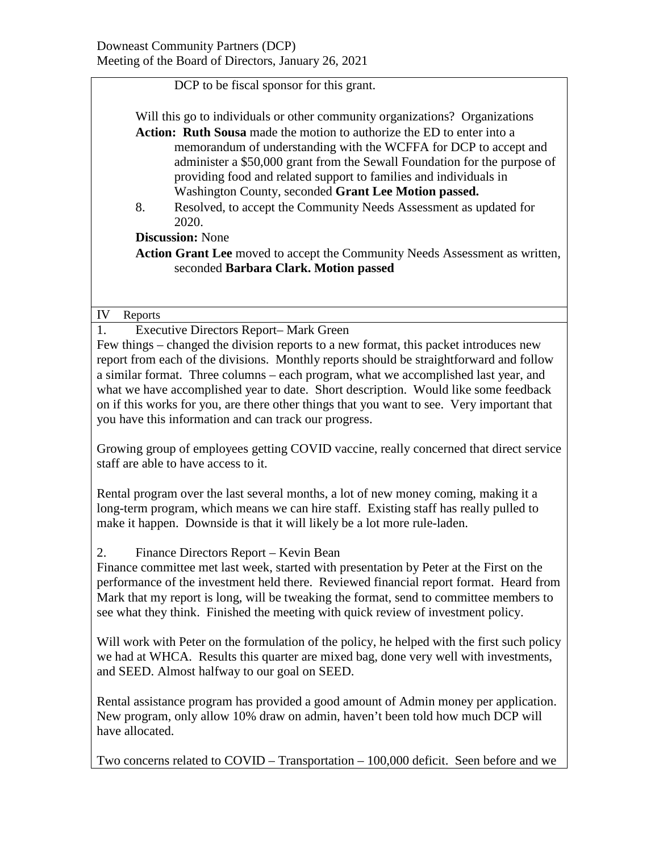DCP to be fiscal sponsor for this grant.

Will this go to individuals or other community organizations? Organizations **Action: Ruth Sousa** made the motion to authorize the ED to enter into a memorandum of understanding with the WCFFA for DCP to accept and administer a \$50,000 grant from the Sewall Foundation for the purpose of providing food and related support to families and individuals in Washington County, seconded **Grant Lee Motion passed.**

8. Resolved, to accept the Community Needs Assessment as updated for 2020.

**Discussion:** None

**Action Grant Lee** moved to accept the Community Needs Assessment as written, seconded **Barbara Clark. Motion passed**

## IV Reports

1. Executive Directors Report– Mark Green Few things – changed the division reports to a new format, this packet introduces new report from each of the divisions. Monthly reports should be straightforward and follow a similar format. Three columns – each program, what we accomplished last year, and what we have accomplished year to date. Short description. Would like some feedback on if this works for you, are there other things that you want to see. Very important that you have this information and can track our progress.

Growing group of employees getting COVID vaccine, really concerned that direct service staff are able to have access to it.

Rental program over the last several months, a lot of new money coming, making it a long-term program, which means we can hire staff. Existing staff has really pulled to make it happen. Downside is that it will likely be a lot more rule-laden.

## 2. Finance Directors Report – Kevin Bean

Finance committee met last week, started with presentation by Peter at the First on the performance of the investment held there. Reviewed financial report format. Heard from Mark that my report is long, will be tweaking the format, send to committee members to see what they think. Finished the meeting with quick review of investment policy.

Will work with Peter on the formulation of the policy, he helped with the first such policy we had at WHCA. Results this quarter are mixed bag, done very well with investments, and SEED. Almost halfway to our goal on SEED.

Rental assistance program has provided a good amount of Admin money per application. New program, only allow 10% draw on admin, haven't been told how much DCP will have allocated.

Two concerns related to COVID – Transportation – 100,000 deficit. Seen before and we